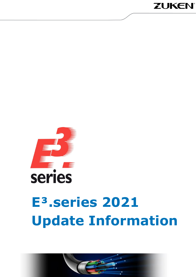



# **E³.series 2021 Update Information**

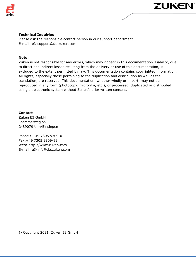

### **Technical Inquiries**

Please ask the responsible contact person in our support department. E-mail: e3-support@de.zuken.com

#### **Note:**

Zuken is not responsible for any errors, which may appear in this documentation. Liability, due to direct and indirect losses resulting from the delivery or use of this documentation, is excluded to the extent permitted by law. This documentation contains copyrighted information. All rights, especially those pertaining to the duplication and distribution as well as the translation, are reserved. This documentation, whether wholly or in part, may not be reproduced in any form (photocopy, microfilm, etc.), or processed, duplicated or distributed using an electronic system without Zuken's prior written consent.

#### **Contact**

Zuken E3 GmbH Laemmerweg 55 D-89079 Ulm/Einsingen

Phone : +49 7305 9309-0 Fax:+49 7305 9309-99 Web: http://www.zuken.com E-mail: e3-info@de.zuken.com

© Copyright 2021, Zuken E3 GmbH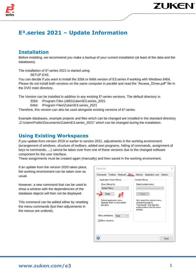

## **E³.series 2021 – Update Information**

## **Installation**

Before installing, we recommend you make a backup of your current installation (at least of the data and the databases).

The installation of E<sup>3</sup>.series 2021 is started using SETUP FXF

You can decide if you want to install the 32bit or 64bit version of E3.series if working with Windows 64bit. Please do not install both versions on the same computer in parallel and read the "Access\_Driver.pdf" file in the DVD main directory.

The Version can be installed in addition to any existing E<sup>3</sup>.series versions. The default directory is:

- 32bit: \Program Files (x86)\Zuken\E3.series\_2021
- 64bit: \Program Files\Zuken\E3.series\_2021

Therefore, this version can also be used alongside existing versions of E<sup>3</sup>.series.

Example databases, example projects and files which can be changed are installed in the standard directory "C:\Users\Public\Documents\Zuken\E3.series\_2021" which can be changed during the installation.

## **Using Existing Workspaces**

If you update from version 2019 or earlier to version 2021, adjustments in the working environment (arrangement of windows, structure of toolbars, added own programs, hiding of commands, assignment of keys to commands, ...) cannot be taken over from one of these versions due to the changed software component for the user interface.

These assignments must be created again (manually) and then saved in the working environment.

If an update from the version 2020 takes place, the working environment can be taken over as usual.

However, a new command that can be used to show a window with the dependencies of the database objects will then not be displayed.

This command can be added either by resetting the menu commands (but then adjustments in the menus are undone),

| Commands Toolbars<br><b>Application Frame Menus:</b>                |      | Keyboard Menu |  | Add-ons                                                                                                                    | Application Look | Options |
|---------------------------------------------------------------------|------|---------------|--|----------------------------------------------------------------------------------------------------------------------------|------------------|---------|
|                                                                     |      |               |  |                                                                                                                            |                  |         |
|                                                                     |      |               |  | Context Menus:                                                                                                             |                  |         |
| Show Menus for:<br>Default Menu                                     |      |               |  | Select context menu:                                                                                                       |                  |         |
| Reset                                                               |      |               |  | Reset                                                                                                                      |                  |         |
| Default application menu.<br>Appears when no documents<br>are open. |      |               |  | Hint: select the context menu.<br>change the page to<br>"Commands" and drag the<br>toolbar buttons into the menu<br>window |                  |         |
| Menu animations:<br>√Menu shadows                                   | Fade |               |  |                                                                                                                            |                  |         |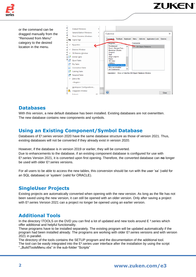

or the command can be dragged manually from the "Removed from Menu" category to the desired location in the menu.



**ZUKEN®** 

## **Databases**

With this version, a new default database has been installed. Existing databases are not overwritten. The new database contains new components and symbols.

## **Using an Existing Component/Symbol Database**

Databases of E<sup>3</sup>.series version 2020 have the same database structure as those of version 2021. Thus, existing databases will not be converted if they already exist in version 2020.

However, if the database is in version 2019 or earlier, they will be converted.

Due to enhancements to the database, if an existing component database is configured for use with E³.series Version 2021, it is converted upon first opening. Therefore, the converted database can **no** longer be used with older E<sup>3</sup>.series versions.

For all users to be able to access the new tables, this conversion should be run with the user 'sa' (valid for an SQL database) or 'system' (valid for ORACLE).

## **SingleUser Projects**

Existing projects are automatically converted when opening with the new version. As long as the file has not been saved using the new version, it can still be opened with an older version. Only after saving a project with E<sup>3</sup>. series Version 2021 can a project no longer be opened using an earlier version.

## **Additional Tools**

In the directory \TOOLS on the DVD you can find a lot of updated and new tools around E<sup>3</sup>.series which offer additional and helpful functionality.

These programs have to be installed separately. The existing program will be updated automatically if the program had been installed already. The programs are working with older E³.series versions and with version 2021 in parallel.

The directory of the tools contains the SETUP program and the documentation of the additional tool. The tool can be easily integrated into the  $E<sup>3</sup>$  series user interface after the installation by using the script

"...BuildToolsMenu.vbs" in the sub-folder "Scripts"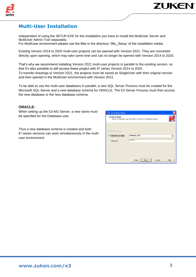

## **Multi-User Installation**

Independent of using the SETUP.EXE for the installation you have to install the MultiUser Server and MultiUser Admin-Tool separately.

For MultiUser environment please use the files in the directory '\Mu\_Setup' of the installation media.

Existing Version 2014 to 2020 multi-user projects can be opened with Version 2021. They are converted directly upon opening, which may take some time and can no longer be opened with Version 2014 to 2020.

That's why we recommend installing Version 2021 multi-user projects in parallel to the existing version, so that it's also possible to still access these project with E<sup>3</sup>.series Version 2014 to 2020. To transfer drawings to Version 2021, the projects must be saved as SingleUser with their original version and then opened in the MultiUser environment with Version 2021.

To be able to use the multi-user databases in parallel, a new SQL Server Process must be created for the Microsoft SQL-Server and a new database schema for ORACLE. The E3 Server Process must then access the new database or the new database schema.

#### **ORACLE:**

When setting up the E3-MU Server, a new name must be specified for the Database user.

Thus a new database schema is created and both E<sup>3</sup>. series versions can work simultaneously in the multiuser environment.

| E <sup>2</sup> . E <sup>3</sup> . enterprise Setup |                                                                         |
|----------------------------------------------------|-------------------------------------------------------------------------|
| <b>Database Owner</b>                              | Select the database user who will be the owner of all database objects. |
| C Service account                                  |                                                                         |
| n<br>Database account:                             | E3MUDB_2021                                                             |
| Password:                                          | <b>SORGERORS</b>                                                        |
|                                                    | $<$ Back<br>Cancel<br>$Next$ ><br>Help                                  |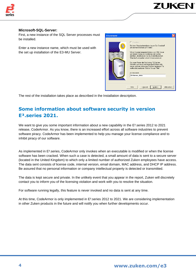

#### **Microsoft-SQL-Server:**

First, a new instance of the SQL Server processes must be installed.

Enter a new instance name, which must be used with the set up installation of the E3-MU Server.



**ZUKEN** 

The rest of the installation takes place as described in the Installation description.

## **Some information about software security in version E³.series 2021.**

We want to give you some important information about a new capability in the E<sup>3</sup>.series 2012 to 2021 release, CodeArmor. As you know, there is an increased effort across all software industries to prevent software piracy. CodeArmor has been implemented to help you manage your license compliance and to inhibit piracy of our software.

As implemented in E<sup>3</sup>. Series, CodeArmor only invokes when an executable is modified or when the license software has been cracked. When such a case is detected, a small amount of data is sent to a secure server (located in the United Kingdom) to which only a limited number of authorized Zuken employees have access. The data sent consists of license code, internal version, email domain, MAC address, and DHCP IP address. Be assured that no personal information or company intellectual property is detected or transmitted.

The data is kept secure and private. In the unlikely event that you appear in the report, Zuken will discretely contact you to inform you of the licensing violation and work with you to resolve the situation.

For software running legally, this feature is never invoked and no data is sent at any time.

At this time, CodeArmor is only implemented in E<sup>3</sup>. Series 2012 to 2021. We are considering implementation in other Zuken products in the future and will notify you when further developments occur.